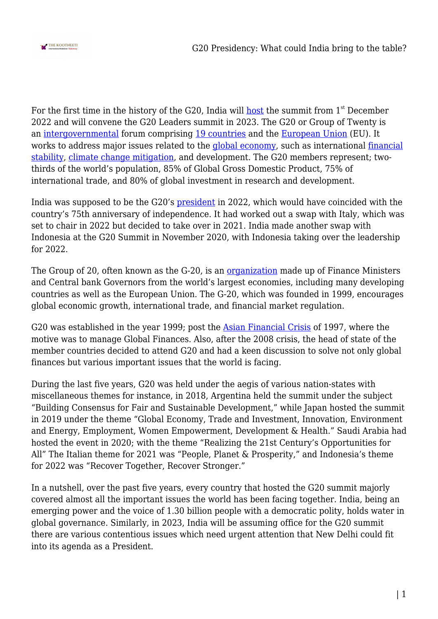

For the first time in the history of the G20, India will [host](https://www.business-standard.com/article/current-affairs/new-pragati-maidan-to-host-g-20-summit-in-2023-piyush-goyal-121101300536_1.html) the summit from  $1<sup>st</sup>$  December 2022 and will convene the G20 Leaders summit in 2023. The G20 or Group of Twenty is an [intergovernmental](https://en.wikipedia.org/wiki/Intergovernmental_organization) forum comprising [19 countries](https://en.wikipedia.org/wiki/G20#Members) and the [European Union](https://www.oecd.org/g20/about/) (EU). It works to address major issues related to the [global economy](https://en.wikipedia.org/wiki/World_economy), such as international [financial](https://en.wikipedia.org/wiki/Financial_stability) [stability,](https://en.wikipedia.org/wiki/Financial_stability) [climate change mitigation](https://en.wikipedia.org/wiki/Climate_change_mitigation), and development. The G20 members represent; twothirds of the world's population, 85% of Global Gross Domestic Product, 75% of international trade, and 80% of global investment in research and development.

India was supposed to be the G20's [president](https://www.hindustantimes.com/india-news/india-preps-for-g20-presidency-from-1-dec-greenlights-setting-up-a-secretariat-101644938503470.html) in 2022, which would have coincided with the country's 75th anniversary of independence. It had worked out a swap with Italy, which was set to chair in 2022 but decided to take over in 2021. India made another swap with Indonesia at the G20 Summit in November 2020, with Indonesia taking over the leadership for 2022.

The Group of 20, often known as the G-20, is an [organization](https://www.investopedia.com/terms/g/g-20.asp) made up of Finance Ministers and Central bank Governors from the world's largest economies, including many developing countries as well as the European Union. The G-20, which was founded in 1999, encourages global economic growth, international trade, and financial market regulation.

G20 was established in the year 1999; post the [Asian Financial Crisis](https://www.britannica.com/event/Asian-financial-crisis) of 1997, where the motive was to manage Global Finances. Also, after the 2008 crisis, the head of state of the member countries decided to attend G20 and had a keen discussion to solve not only global finances but various important issues that the world is facing.

During the last five years, G20 was held under the aegis of various nation-states with miscellaneous themes for instance, in 2018, Argentina held the summit under the subject "Building Consensus for Fair and Sustainable Development," while Japan hosted the summit in 2019 under the theme "Global Economy, Trade and Investment, Innovation, Environment and Energy, Employment, Women Empowerment, Development & Health." Saudi Arabia had hosted the event in 2020; with the theme "Realizing the 21st Century's Opportunities for All" The Italian theme for 2021 was "People, Planet & Prosperity," and Indonesia's theme for 2022 was "Recover Together, Recover Stronger."

In a nutshell, over the past five years, every country that hosted the G20 summit majorly covered almost all the important issues the world has been facing together. India, being an emerging power and the voice of 1.30 billion people with a democratic polity, holds water in global governance. Similarly, in 2023, India will be assuming office for the G20 summit there are various contentious issues which need urgent attention that New Delhi could fit into its agenda as a President.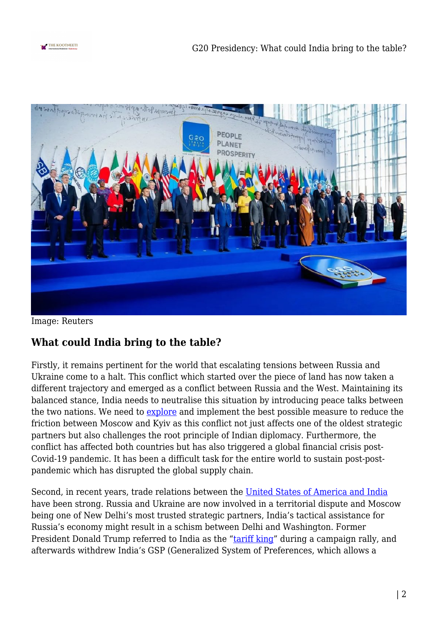



Image: Reuters

## **What could India bring to the table?**

Firstly, it remains pertinent for the world that escalating tensions between Russia and Ukraine come to a halt. This conflict which started over the piece of land has now taken a different trajectory and emerged as a conflict between Russia and the West. Maintaining its balanced stance, India needs to neutralise this situation by introducing peace talks between the two nations. We need to **explore** and implement the best possible measure to reduce the friction between Moscow and Kyiv as this conflict not just affects one of the oldest strategic partners but also challenges the root principle of Indian diplomacy. Furthermore, the conflict has affected both countries but has also triggered a global financial crisis post-Covid-19 pandemic. It has been a difficult task for the entire world to sustain post-postpandemic which has disrupted the global supply chain.

Second, in recent years, trade relations between the [United States of America and India](https://www.aph.gov.au/About_Parliament/Parliamentary_Departments/Parliamentary_Library/pubs/rp/rp0102/02RP20) have been strong. Russia and Ukraine are now involved in a territorial dispute and Moscow being one of New Delhi's most trusted strategic partners, India's tactical assistance for Russia's economy might result in a schism between Delhi and Washington. Former President Donald Trump referred to India as the ["tariff king"](https://www.businesstoday.in/latest/economy-politics/story/donal-trump-india-tariff-king-india-uus-trade-tariff-on-americanproduct-u-spresident-trump-189271-2019-04-29) during a campaign rally, and afterwards withdrew India's GSP (Generalized System of Preferences, which allows a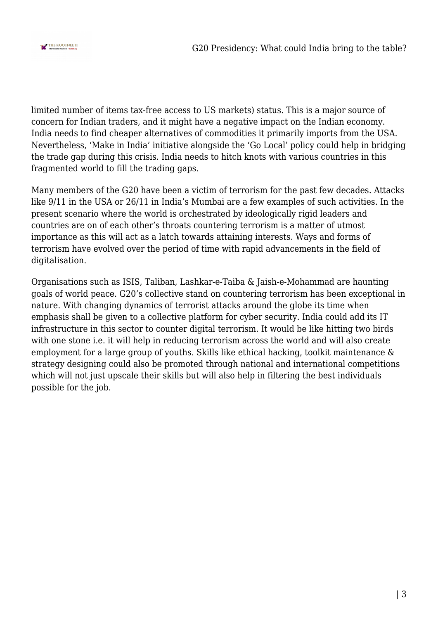

limited number of items tax-free access to US markets) status. This is a major source of concern for Indian traders, and it might have a negative impact on the Indian economy. India needs to find cheaper alternatives of commodities it primarily imports from the USA. Nevertheless, 'Make in India' initiative alongside the 'Go Local' policy could help in bridging the trade gap during this crisis. India needs to hitch knots with various countries in this fragmented world to fill the trading gaps.

Many members of the G20 have been a victim of terrorism for the past few decades. Attacks like 9/11 in the USA or 26/11 in India's Mumbai are a few examples of such activities. In the present scenario where the world is orchestrated by ideologically rigid leaders and countries are on of each other's throats countering terrorism is a matter of utmost importance as this will act as a latch towards attaining interests. Ways and forms of terrorism have evolved over the period of time with rapid advancements in the field of digitalisation.

Organisations such as ISIS, Taliban, Lashkar-e-Taiba & Jaish-e-Mohammad are haunting goals of world peace. G20's collective stand on countering terrorism has been exceptional in nature. With changing dynamics of terrorist attacks around the globe its time when emphasis shall be given to a collective platform for cyber security. India could add its IT infrastructure in this sector to counter digital terrorism. It would be like hitting two birds with one stone i.e. it will help in reducing terrorism across the world and will also create employment for a large group of youths. Skills like ethical hacking, toolkit maintenance & strategy designing could also be promoted through national and international competitions which will not just upscale their skills but will also help in filtering the best individuals possible for the job.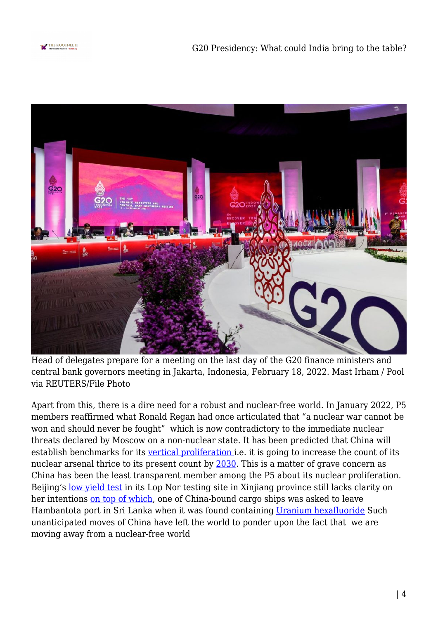



Head of delegates prepare for a meeting on the last day of the G20 finance ministers and central bank governors meeting in Jakarta, Indonesia, February 18, 2022. Mast Irham / Pool via REUTERS/File Photo

Apart from this, there is a dire need for a robust and nuclear-free world. In January 2022, P5 members reaffirmed what Ronald Regan had once articulated that "a nuclear war cannot be won and should never be fought" which is now contradictory to the immediate nuclear threats declared by Moscow on a non-nuclear state. It has been predicted that China will establish benchmarks for its [vertical proliferation](https://thenucleartimes.wordpress.com/2016/12/12/horizontal-vs-vertical-proliferation/) i.e. it is going to increase the count of its nuclear arsenal thrice to its present count by [2030](https://www.livemint.com/news/world/china-may-have-at-least-1-000-nuclear-warheads-by-2030-pentagon-11636076546208.html). This is a matter of grave concern as China has been the least transparent member among the P5 about its nuclear proliferation. Beijing's [low yield test](https://economictimes.indiatimes.com/news/defence/us-says-china-may-have-conducted-low-level-nuclear-test-blasts/articleshow/75177373.cms?from=mdr) in its Lop Nor testing site in Xinjiang province still lacks clarity on her intentions [on top of which](https://www.newindianexpress.com/world/2021/apr/22/sri-lanka-asks-china-bound-ship-to-leave-hambantota-port-after-uranium-found-on-it-2293037.html), one of China-bound cargo ships was asked to leave Hambantota port in Sri Lanka when it was found containing [Uranium hexafluoride](https://www.thehindu.com/news/international/sri-lanka-detects-nuclear-material-on-china-bound-vessel-docked-at-hambantota/article61820099.ece) Such unanticipated moves of China have left the world to ponder upon the fact that we are moving away from a nuclear-free world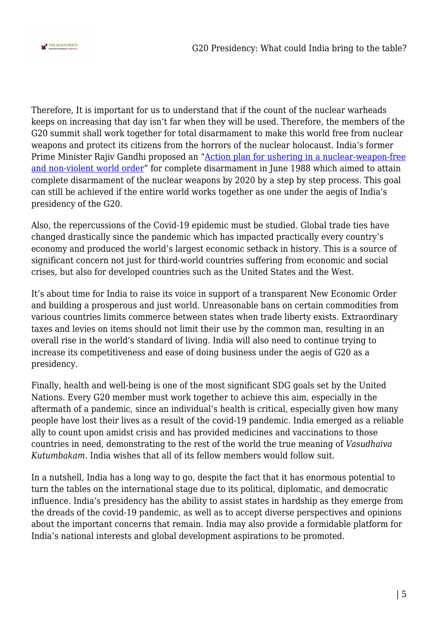

Therefore, It is important for us to understand that if the count of the nuclear warheads keeps on increasing that day isn't far when they will be used. Therefore, the members of the G20 summit shall work together for total disarmament to make this world free from nuclear weapons and protect its citizens from the horrors of the nuclear holocaust. India's former Prime Minister Rajiv Gandhi proposed an ["Action plan for ushering in a nuclear-weapon-free](https://www.thehindu.com/opinion/op-ed/Rajiv-Gandhi-Plan-a-valuable-solution/article16124741.ece) [and non-violent world order"](https://www.thehindu.com/opinion/op-ed/Rajiv-Gandhi-Plan-a-valuable-solution/article16124741.ece) for complete disarmament in June 1988 which aimed to attain complete disarmament of the nuclear weapons by 2020 by a step by step process. This goal can still be achieved if the entire world works together as one under the aegis of India's presidency of the G20.

Also, the repercussions of the Covid-19 epidemic must be studied. Global trade ties have changed drastically since the pandemic which has impacted practically every country's economy and produced the world's largest economic setback in history. This is a source of significant concern not just for third-world countries suffering from economic and social crises, but also for developed countries such as the United States and the West.

It's about time for India to raise its voice in support of a transparent New Economic Order and building a prosperous and just world. Unreasonable bans on certain commodities from various countries limits commerce between states when trade liberty exists. Extraordinary taxes and levies on items should not limit their use by the common man, resulting in an overall rise in the world's standard of living. India will also need to continue trying to increase its competitiveness and ease of doing business under the aegis of G20 as a presidency.

Finally, health and well-being is one of the most significant SDG goals set by the United Nations. Every G20 member must work together to achieve this aim, especially in the aftermath of a pandemic, since an individual's health is critical, especially given how many people have lost their lives as a result of the covid-19 pandemic. India emerged as a reliable ally to count upon amidst crisis and has provided medicines and vaccinations to those countries in need, demonstrating to the rest of the world the true meaning of *Vasudhaiva Kutumbakam*. India wishes that all of its fellow members would follow suit.

In a nutshell, India has a long way to go, despite the fact that it has enormous potential to turn the tables on the international stage due to its political, diplomatic, and democratic influence. India's presidency has the ability to assist states in hardship as they emerge from the dreads of the covid-19 pandemic, as well as to accept diverse perspectives and opinions about the important concerns that remain. India may also provide a formidable platform for India's national interests and global development aspirations to be promoted.